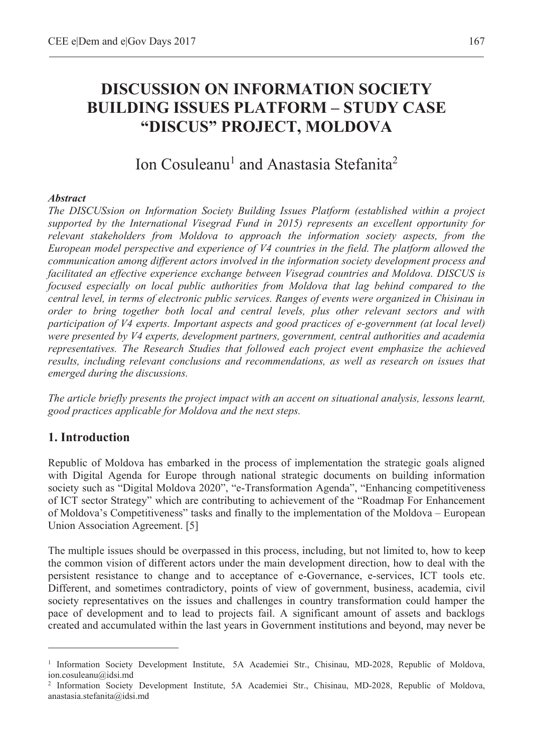# **DISCUSSION ON INFORMATION SOCIETY BUILDING ISSUES PLATFORM – STUDY CASE "DISCUS" PROJECT, MOLDOVA**

## Ion Cosuleanu<sup>1</sup> and Anastasia Stefanita<sup>2</sup>

#### *Abstract*

*The DISCUSsion on Information Society Building Issues Platform (established within a project supported by the International Visegrad Fund in 2015) represents an excellent opportunity for relevant stakeholders from Moldova to approach the information society aspects, from the European model perspective and experience of V4 countries in the field. The platform allowed the communication among different actors involved in the information society development process and facilitated an effective experience exchange between Visegrad countries and Moldova. DISCUS is focused especially on local public authorities from Moldova that lag behind compared to the central level, in terms of electronic public services. Ranges of events were organized in Chisinau in order to bring together both local and central levels, plus other relevant sectors and with participation of V4 experts. Important aspects and good practices of e-government (at local level) were presented by V4 experts, development partners, government, central authorities and academia representatives. The Research Studies that followed each project event emphasize the achieved results, including relevant conclusions and recommendations, as well as research on issues that emerged during the discussions.* 

*The article briefly presents the project impact with an accent on situational analysis, lessons learnt, good practices applicable for Moldova and the next steps.* 

#### **1. Introduction**

 $\overline{a}$ 

Republic of Moldova has embarked in the process of implementation the strategic goals aligned with Digital Agenda for Europe through national strategic documents on building information society such as "Digital Moldova 2020", "e-Transformation Agenda", "Enhancing competitiveness of ICT sector Strategy" which are contributing to achievement of the "Roadmap For Enhancement of Moldova's Competitiveness" tasks and finally to the implementation of the Moldova – European Union Association Agreement. [5]

The multiple issues should be overpassed in this process, including, but not limited to, how to keep the common vision of different actors under the main development direction, how to deal with the persistent resistance to change and to acceptance of e-Governance, e-services, ICT tools etc. Different, and sometimes contradictory, points of view of government, business, academia, civil society representatives on the issues and challenges in country transformation could hamper the pace of development and to lead to projects fail. A significant amount of assets and backlogs created and accumulated within the last years in Government institutions and beyond, may never be

<sup>&</sup>lt;sup>1</sup> Information Society Development Institute, 5A Academiei Str., Chisinau, MD-2028, Republic of Moldova, ion.cosuleanu@idsi.md

<sup>2</sup> Information Society Development Institute, 5A Academiei Str., Chisinau, MD-2028, Republic of Moldova, anastasia.stefanita@idsi.md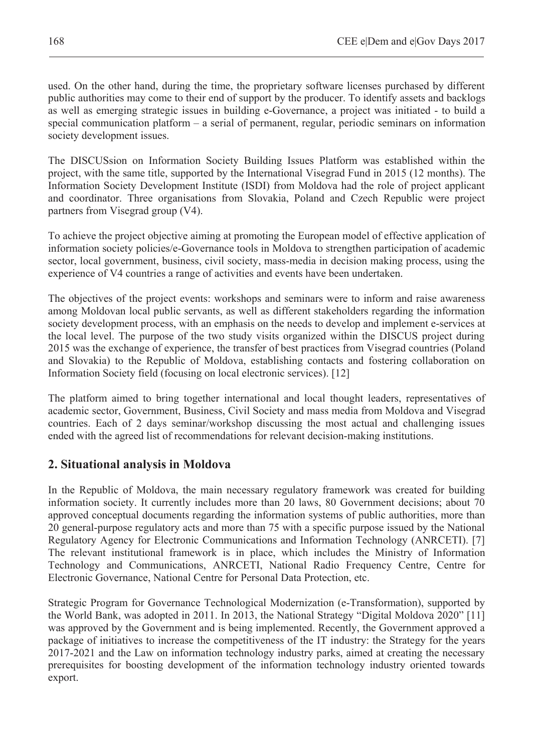used. On the other hand, during the time, the proprietary software licenses purchased by different public authorities may come to their end of support by the producer. To identify assets and backlogs as well as emerging strategic issues in building e-Governance, a project was initiated - to build a special communication platform – a serial of permanent, regular, periodic seminars on information society development issues.

The DISCUSsion on Information Society Building Issues Platform was established within the project, with the same title, supported by the International Visegrad Fund in 2015 (12 months). The Information Society Development Institute (ISDI) from Moldova had the role of project applicant and coordinator. Three organisations from Slovakia, Poland and Czech Republic were project partners from Visegrad group (V4).

To achieve the project objective aiming at promoting the European model of effective application of information society policies/e-Governance tools in Moldova to strengthen participation of academic sector, local government, business, civil society, mass-media in decision making process, using the experience of V4 countries a range of activities and events have been undertaken.

The objectives of the project events: workshops and seminars were to inform and raise awareness among Moldovan local public servants, as well as different stakeholders regarding the information society development process, with an emphasis on the needs to develop and implement e-services at the local level. The purpose of the two study visits organized within the DISCUS project during 2015 was the exchange of experience, the transfer of best practices from Visegrad countries (Poland and Slovakia) to the Republic of Moldova, establishing contacts and fostering collaboration on Information Society field (focusing on local electronic services). [12]

The platform aimed to bring together international and local thought leaders, representatives of academic sector, Government, Business, Civil Society and mass media from Moldova and Visegrad countries. Each of 2 days seminar/workshop discussing the most actual and challenging issues ended with the agreed list of recommendations for relevant decision-making institutions.

### **2. Situational analysis in Moldova**

In the Republic of Moldova, the main necessary regulatory framework was created for building information society. It currently includes more than 20 laws, 80 Government decisions; about 70 approved conceptual documents regarding the information systems of public authorities, more than 20 general-purpose regulatory acts and more than 75 with a specific purpose issued by the National Regulatory Agency for Electronic Communications and Information Technology (ANRCETI). [7] The relevant institutional framework is in place, which includes the Ministry of Information Technology and Communications, ANRCETI, National Radio Frequency Centre, Centre for Electronic Governance, National Centre for Personal Data Protection, etc.

Strategic Program for Governance Technological Modernization (e-Transformation), supported by the World Bank, was adopted in 2011. In 2013, the National Strategy "Digital Moldova 2020" [11] was approved by the Government and is being implemented. Recently, the Government approved a package of initiatives to increase the competitiveness of the IT industry: the Strategy for the years 2017-2021 and the Law on information technology industry parks, aimed at creating the necessary prerequisites for boosting development of the information technology industry oriented towards export.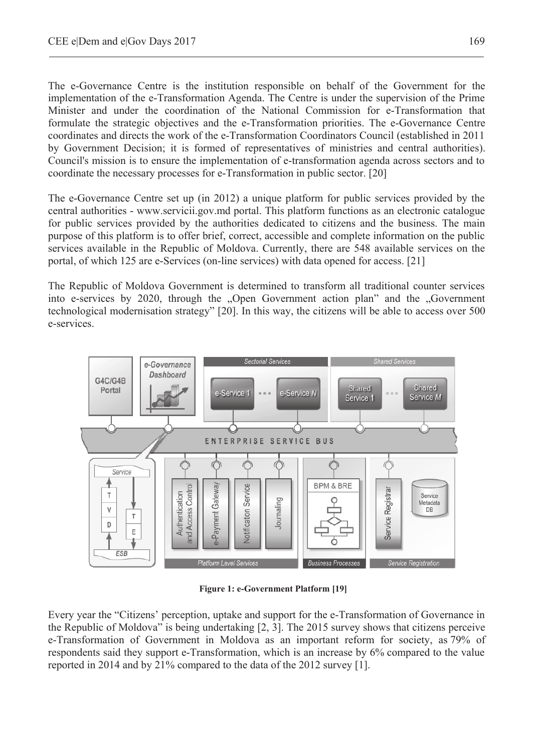The e-Governance Centre is the institution responsible on behalf of the Government for the implementation of the e-Transformation Agenda. The Centre is under the supervision of the Prime Minister and under the coordination of the National Commission for e-Transformation that formulate the strategic objectives and the e-Transformation priorities. The e-Governance Centre coordinates and directs the work of the e-Transformation Coordinators Council (established in 2011 by Government Decision; it is formed of representatives of ministries and central authorities). Council's mission is to ensure the implementation of e-transformation agenda across sectors and to coordinate the necessary processes for e-Transformation in public sector. [20]

The e-Governance Centre set up (in 2012) a unique platform for public services provided by the central authorities - www.servicii.gov.md portal. This platform functions as an electronic catalogue for public services provided by the authorities dedicated to citizens and the business. The main purpose of this platform is to offer brief, correct, accessible and complete information on the public services available in the Republic of Moldova. Currently, there are 548 available services on the portal, of which 125 are e-Services (on-line services) with data opened for access. [21]

The Republic of Moldova Government is determined to transform all traditional counter services into e-services by 2020, through the "Open Government action plan" and the "Government" technological modernisation strategy" [20]. In this way, the citizens will be able to access over 500 e-services.



**Figure 1: e-Government Platform [19]** 

Every year the "Citizens' perception, uptake and support for the e-Transformation of Governance in the Republic of Moldova" is being undertaking [2, 3]. The 2015 survey shows that citizens perceive e-Transformation of Government in Moldova as an important reform for society, as 79% of respondents said they support e-Transformation, which is an increase by 6% compared to the value reported in 2014 and by 21% compared to the data of the 2012 survey [1].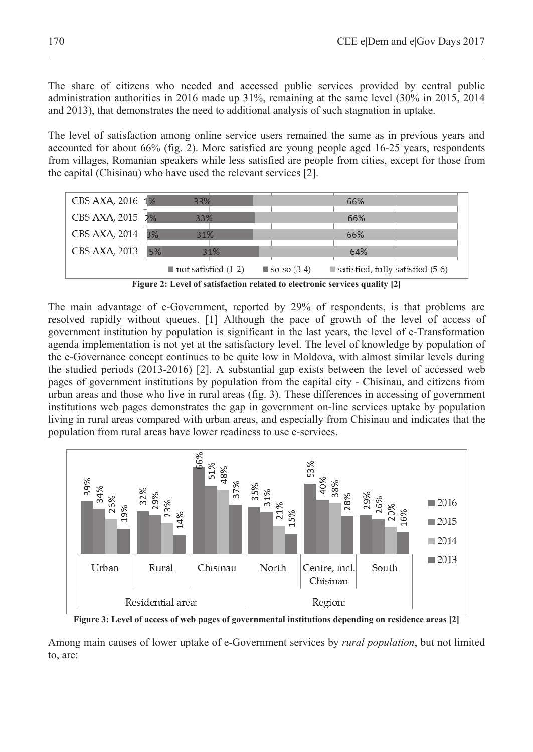The share of citizens who needed and accessed public services provided by central public administration authorities in 2016 made up 31%, remaining at the same level (30% in 2015, 2014 and 2013), that demonstrates the need to additional analysis of such stagnation in uptake.

The level of satisfaction among online service users remained the same as in previous years and accounted for about 66% (fig. 2). More satisfied are young people aged 16-25 years, respondents from villages, Romanian speakers while less satisfied are people from cities, except for those from the capital (Chisinau) who have used the relevant services [2].



**Figure 2: Level of satisfaction related to electronic services quality [2]**

The main advantage of e-Government, reported by 29% of respondents, is that problems are resolved rapidly without queues. [1] Although the pace of growth of the level of access of government institution by population is significant in the last years, the level of e-Transformation agenda implementation is not yet at the satisfactory level. The level of knowledge by population of the e-Governance concept continues to be quite low in Moldova, with almost similar levels during the studied periods (2013-2016) [2]. A substantial gap exists between the level of accessed web pages of government institutions by population from the capital city - Chisinau, and citizens from urban areas and those who live in rural areas (fig. 3). These differences in accessing of government institutions web pages demonstrates the gap in government on-line services uptake by population living in rural areas compared with urban areas, and especially from Chisinau and indicates that the population from rural areas have lower readiness to use e-services.



**Figure 3: Level of access of web pages of governmental institutions depending on residence areas [2]** 

Among main causes of lower uptake of e-Government services by *rural population*, but not limited to, are: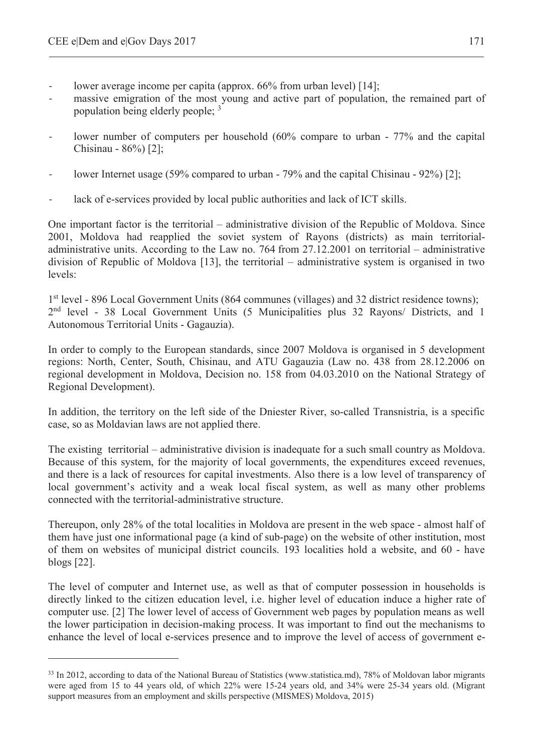$\overline{a}$ 

- lower average income per capita (approx. 66% from urban level) [14];
- massive emigration of the most young and active part of population, the remained part of population being elderly people; <sup>3</sup>
- lower number of computers per household (60% compare to urban 77% and the capital Chisinau - 86%) [2];
- lower Internet usage (59% compared to urban 79% and the capital Chisinau 92%) [2]:
- lack of e-services provided by local public authorities and lack of ICT skills.

One important factor is the territorial – administrative division of the Republic of Moldova. Since 2001, Moldova had reapplied the soviet system of Rayons (districts) as main territorialadministrative units. According to the Law no. 764 from 27.12.2001 on territorial – administrative division of Republic of Moldova [13], the territorial – administrative system is organised in two levels:

1st level - 896 Local Government Units (864 communes (villages) and 32 district residence towns); 2nd level - 38 Local Government Units (5 Municipalities plus 32 Rayons/ Districts, and 1 Autonomous Territorial Units - Gagauzia).

In order to comply to the European standards, since 2007 Moldova is organised in 5 development regions: North, Center, South, Chisinau, and ATU Gagauzia (Law no. 438 from 28.12.2006 on regional development in Moldova, Decision no. 158 from 04.03.2010 on the National Strategy of Regional Development).

In addition, the territory on the left side of the Dniester River, so-called Transnistria, is a specific case, so as Moldavian laws are not applied there.

The existing territorial – administrative division is inadequate for a such small country as Moldova. Because of this system, for the majority of local governments, the expenditures exceed revenues, and there is a lack of resources for capital investments. Also there is a low level of transparency of local government's activity and a weak local fiscal system, as well as many other problems connected with the territorial-administrative structure.

Thereupon, only 28% of the total localities in Moldova are present in the web space - almost half of them have just one informational page (a kind of sub-page) on the website of other institution, most of them on websites of municipal district councils. 193 localities hold a website, and 60 - have blogs [22].

The level of computer and Internet use, as well as that of computer possession in households is directly linked to the citizen education level, i.e. higher level of education induce a higher rate of computer use. [2] The lower level of access of Government web pages by population means as well the lower participation in decision-making process. It was important to find out the mechanisms to enhance the level of local e-services presence and to improve the level of access of government e-

<sup>&</sup>lt;sup>33</sup> In 2012, according to data of the National Bureau of Statistics (www.statistica.md), 78% of Moldovan labor migrants were aged from 15 to 44 years old, of which 22% were 15-24 years old, and 34% were 25-34 years old. (Migrant support measures from an employment and skills perspective (MISMES) Moldova, 2015)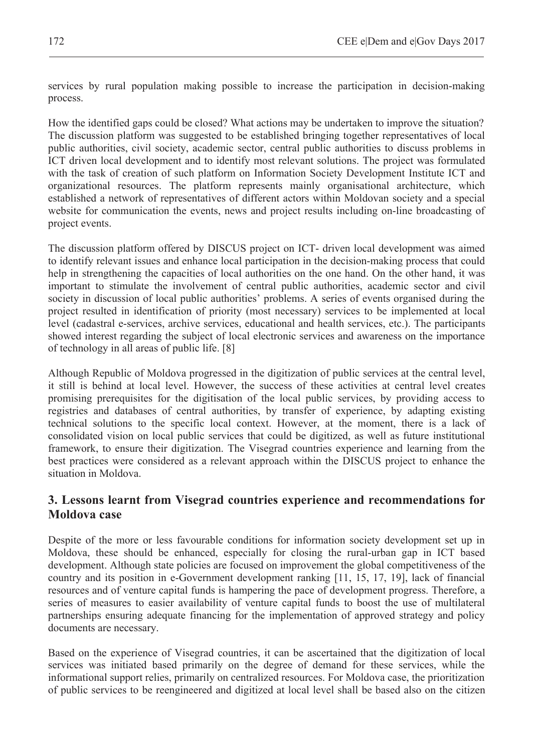services by rural population making possible to increase the participation in decision-making process.

How the identified gaps could be closed? What actions may be undertaken to improve the situation? The discussion platform was suggested to be established bringing together representatives of local public authorities, civil society, academic sector, central public authorities to discuss problems in ICT driven local development and to identify most relevant solutions. The project was formulated with the task of creation of such platform on Information Society Development Institute ICT and organizational resources. The platform represents mainly organisational architecture, which established a network of representatives of different actors within Moldovan society and a special website for communication the events, news and project results including on-line broadcasting of project events.

The discussion platform offered by DISCUS project on ICT- driven local development was aimed to identify relevant issues and enhance local participation in the decision-making process that could help in strengthening the capacities of local authorities on the one hand. On the other hand, it was important to stimulate the involvement of central public authorities, academic sector and civil society in discussion of local public authorities' problems. A series of events organised during the project resulted in identification of priority (most necessary) services to be implemented at local level (cadastral e-services, archive services, educational and health services, etc.). The participants showed interest regarding the subject of local electronic services and awareness on the importance of technology in all areas of public life. [8]

Although Republic of Moldova progressed in the digitization of public services at the central level, it still is behind at local level. However, the success of these activities at central level creates promising prerequisites for the digitisation of the local public services, by providing access to registries and databases of central authorities, by transfer of experience, by adapting existing technical solutions to the specific local context. However, at the moment, there is a lack of consolidated vision on local public services that could be digitized, as well as future institutional framework, to ensure their digitization. The Visegrad countries experience and learning from the best practices were considered as a relevant approach within the DISCUS project to enhance the situation in Moldova.

#### **3. Lessons learnt from Visegrad countries experience and recommendations for Moldova case**

Despite of the more or less favourable conditions for information society development set up in Moldova, these should be enhanced, especially for closing the rural-urban gap in ICT based development. Although state policies are focused on improvement the global competitiveness of the country and its position in e-Government development ranking [11, 15, 17, 19], lack of financial resources and of venture capital funds is hampering the pace of development progress. Therefore, a series of measures to easier availability of venture capital funds to boost the use of multilateral partnerships ensuring adequate financing for the implementation of approved strategy and policy documents are necessary.

Based on the experience of Visegrad countries, it can be ascertained that the digitization of local services was initiated based primarily on the degree of demand for these services, while the informational support relies, primarily on centralized resources. For Moldova case, the prioritization of public services to be reengineered and digitized at local level shall be based also on the citizen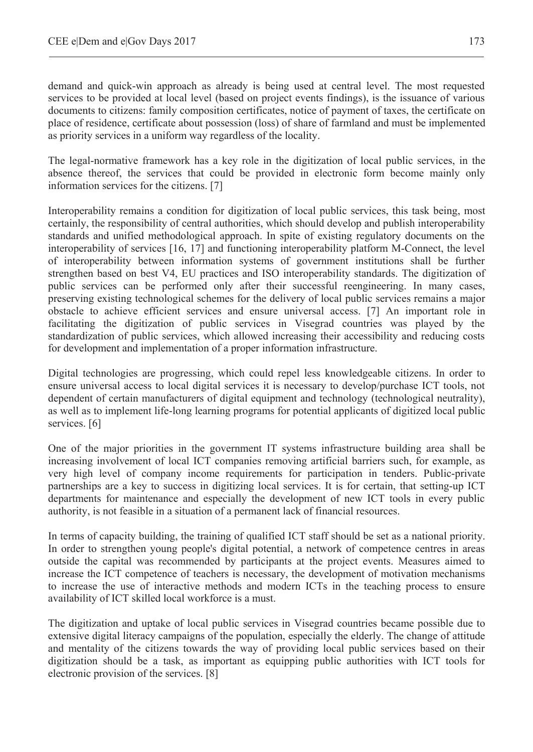demand and quick-win approach as already is being used at central level. The most requested services to be provided at local level (based on project events findings), is the issuance of various documents to citizens: family composition certificates, notice of payment of taxes, the certificate on place of residence, certificate about possession (loss) of share of farmland and must be implemented as priority services in a uniform way regardless of the locality.

The legal-normative framework has a key role in the digitization of local public services, in the absence thereof, the services that could be provided in electronic form become mainly only information services for the citizens. [7]

Interoperability remains a condition for digitization of local public services, this task being, most certainly, the responsibility of central authorities, which should develop and publish interoperability standards and unified methodological approach. In spite of existing regulatory documents on the interoperability of services [16, 17] and functioning interoperability platform M-Connect, the level of interoperability between information systems of government institutions shall be further strengthen based on best V4, EU practices and ISO interoperability standards. The digitization of public services can be performed only after their successful reengineering. In many cases, preserving existing technological schemes for the delivery of local public services remains a major obstacle to achieve efficient services and ensure universal access. [7] An important role in facilitating the digitization of public services in Visegrad countries was played by the standardization of public services, which allowed increasing their accessibility and reducing costs for development and implementation of a proper information infrastructure.

Digital technologies are progressing, which could repel less knowledgeable citizens. In order to ensure universal access to local digital services it is necessary to develop/purchase ICT tools, not dependent of certain manufacturers of digital equipment and technology (technological neutrality), as well as to implement life-long learning programs for potential applicants of digitized local public services. [6]

One of the major priorities in the government IT systems infrastructure building area shall be increasing involvement of local ICT companies removing artificial barriers such, for example, as very high level of company income requirements for participation in tenders. Public-private partnerships are a key to success in digitizing local services. It is for certain, that setting-up ICT departments for maintenance and especially the development of new ICT tools in every public authority, is not feasible in a situation of a permanent lack of financial resources.

In terms of capacity building, the training of qualified ICT staff should be set as a national priority. In order to strengthen young people's digital potential, a network of competence centres in areas outside the capital was recommended by participants at the project events. Measures aimed to increase the ICT competence of teachers is necessary, the development of motivation mechanisms to increase the use of interactive methods and modern ICTs in the teaching process to ensure availability of ICT skilled local workforce is a must.

The digitization and uptake of local public services in Visegrad countries became possible due to extensive digital literacy campaigns of the population, especially the elderly. The change of attitude and mentality of the citizens towards the way of providing local public services based on their digitization should be a task, as important as equipping public authorities with ICT tools for electronic provision of the services. [8]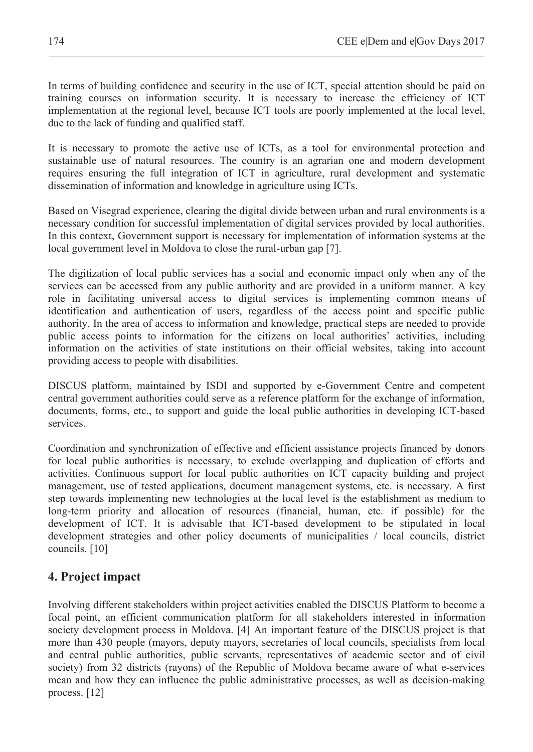In terms of building confidence and security in the use of ICT, special attention should be paid on training courses on information security. It is necessary to increase the efficiency of ICT implementation at the regional level, because ICT tools are poorly implemented at the local level, due to the lack of funding and qualified staff.

It is necessary to promote the active use of ICTs, as a tool for environmental protection and sustainable use of natural resources. The country is an agrarian one and modern development requires ensuring the full integration of ICT in agriculture, rural development and systematic dissemination of information and knowledge in agriculture using ICTs.

Based on Visegrad experience, clearing the digital divide between urban and rural environments is a necessary condition for successful implementation of digital services provided by local authorities. In this context, Government support is necessary for implementation of information systems at the local government level in Moldova to close the rural-urban gap [7].

The digitization of local public services has a social and economic impact only when any of the services can be accessed from any public authority and are provided in a uniform manner. A key role in facilitating universal access to digital services is implementing common means of identification and authentication of users, regardless of the access point and specific public authority. In the area of access to information and knowledge, practical steps are needed to provide public access points to information for the citizens on local authorities' activities, including information on the activities of state institutions on their official websites, taking into account providing access to people with disabilities.

DISCUS platform, maintained by ISDI and supported by e-Government Centre and competent central government authorities could serve as a reference platform for the exchange of information, documents, forms, etc., to support and guide the local public authorities in developing ICT-based services.

Coordination and synchronization of effective and efficient assistance projects financed by donors for local public authorities is necessary, to exclude overlapping and duplication of efforts and activities. Continuous support for local public authorities on ICT capacity building and project management, use of tested applications, document management systems, etc. is necessary. A first step towards implementing new technologies at the local level is the establishment as medium to long-term priority and allocation of resources (financial, human, etc. if possible) for the development of ICT. It is advisable that ICT-based development to be stipulated in local development strategies and other policy documents of municipalities / local councils, district councils. [10]

### **4. Project impact**

Involving different stakeholders within project activities enabled the DISCUS Platform to become a focal point, an efficient communication platform for all stakeholders interested in information society development process in Moldova. [4] An important feature of the DISCUS project is that more than 430 people (mayors, deputy mayors, secretaries of local councils, specialists from local and central public authorities, public servants, representatives of academic sector and of civil society) from 32 districts (rayons) of the Republic of Moldova became aware of what e-services mean and how they can influence the public administrative processes, as well as decision-making process. [12]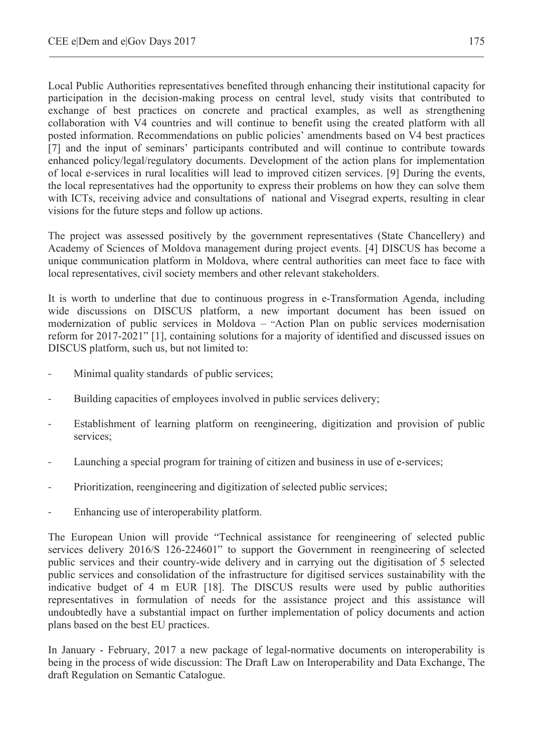Local Public Authorities representatives benefited through enhancing their institutional capacity for participation in the decision-making process on central level, study visits that contributed to exchange of best practices on concrete and practical examples, as well as strengthening collaboration with V4 countries and will continue to benefit using the created platform with all posted information. Recommendations on public policies' amendments based on V4 best practices [7] and the input of seminars' participants contributed and will continue to contribute towards enhanced policy/legal/regulatory documents. Development of the action plans for implementation of local e-services in rural localities will lead to improved citizen services. [9] During the events, the local representatives had the opportunity to express their problems on how they can solve them with ICTs, receiving advice and consultations of national and Visegrad experts, resulting in clear visions for the future steps and follow up actions.

The project was assessed positively by the government representatives (State Chancellery) and Academy of Sciences of Moldova management during project events. [4] DISCUS has become a unique communication platform in Moldova, where central authorities can meet face to face with local representatives, civil society members and other relevant stakeholders.

It is worth to underline that due to continuous progress in e-Transformation Agenda, including wide discussions on DISCUS platform, a new important document has been issued on modernization of public services in Moldova – "Action Plan on public services modernisation reform for 2017-2021" [1], containing solutions for a majority of identified and discussed issues on DISCUS platform, such us, but not limited to:

- Minimal quality standards of public services;
- Building capacities of employees involved in public services delivery;
- Establishment of learning platform on reengineering, digitization and provision of public services;
- Launching a special program for training of citizen and business in use of e-services;
- Prioritization, reengineering and digitization of selected public services;
- Enhancing use of interoperability platform.

The European Union will provide "Technical assistance for reengineering of selected public services delivery 2016/S 126-224601" to support the Government in reengineering of selected public services and their country-wide delivery and in carrying out the digitisation of 5 selected public services and consolidation of the infrastructure for digitised services sustainability with the indicative budget of 4 m EUR [18]. The DISCUS results were used by public authorities representatives in formulation of needs for the assistance project and this assistance will undoubtedly have a substantial impact on further implementation of policy documents and action plans based on the best EU practices.

In January - February, 2017 a new package of legal-normative documents on interoperability is being in the process of wide discussion: The Draft Law on Interoperability and Data Exchange, The draft Regulation on Semantic Catalogue.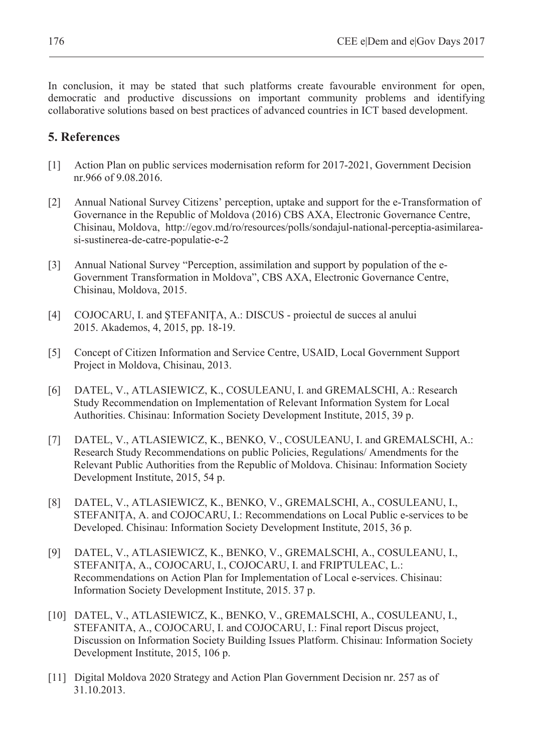In conclusion, it may be stated that such platforms create favourable environment for open, democratic and productive discussions on important community problems and identifying collaborative solutions based on best practices of advanced countries in ICT based development.

### **5. References**

- [1] Action Plan on public services modernisation reform for 2017-2021, Government Decision nr.966 of 9.08.2016.
- [2] Annual National Survey Citizens' perception, uptake and support for the e-Transformation of Governance in the Republic of Moldova (2016) CBS AXA, Electronic Governance Centre, Chisinau, Moldova, http://egov.md/ro/resources/polls/sondajul-national-perceptia-asimilareasi-sustinerea-de-catre-populatie-e-2
- [3] Annual National Survey "Perception, assimilation and support by population of the e-Government Transformation in Moldova", CBS AXA, Electronic Governance Centre, Chisinau, Moldova, 2015.
- [4] COJOCARU, I. and STEFANITA, A.: DISCUS proiectul de succes al anului 2015. Akademos, 4, 2015, pp. 18-19.
- [5] Concept of Citizen Information and Service Centre, USAID, Local Government Support Project in Moldova, Chisinau, 2013.
- [6] DATEL, V., ATLASIEWICZ, K., COSULEANU, I. and GREMALSCHI, A.: Research Study Recommendation on Implementation of Relevant Information System for Local Authorities. Chisinau: Information Society Development Institute, 2015, 39 p.
- [7] DATEL, V., ATLASIEWICZ, K., BENKO, V., COSULEANU, I. and GREMALSCHI, A.: Research Study Recommendations on public Policies, Regulations/ Amendments for the Relevant Public Authorities from the Republic of Moldova. Chisinau: Information Society Development Institute, 2015, 54 p.
- [8] DATEL, V., ATLASIEWICZ, K., BENKO, V., GREMALSCHI, A., COSULEANU, I., STEFANIȚA, A. and COJOCARU, I.: Recommendations on Local Public e-services to be Developed. Chisinau: Information Society Development Institute, 2015, 36 p.
- [9] DATEL, V., ATLASIEWICZ, K., BENKO, V., GREMALSCHI, A., COSULEANU, I., STEFANIȚA, A., COJOCARU, I., COJOCARU, I. and FRIPTULEAC, L.: Recommendations on Action Plan for Implementation of Local e-services. Chisinau: Information Society Development Institute, 2015. 37 p.
- [10] DATEL, V., ATLASIEWICZ, K., BENKO, V., GREMALSCHI, A., COSULEANU, I., STEFANITA, A., COJOCARU, I. and COJOCARU, I.: Final report Discus project, Discussion on Information Society Building Issues Platform. Chisinau: Information Society Development Institute, 2015, 106 p.
- [11] Digital Moldova 2020 Strategy and Action Plan Government Decision nr. 257 as of 31.10.2013.